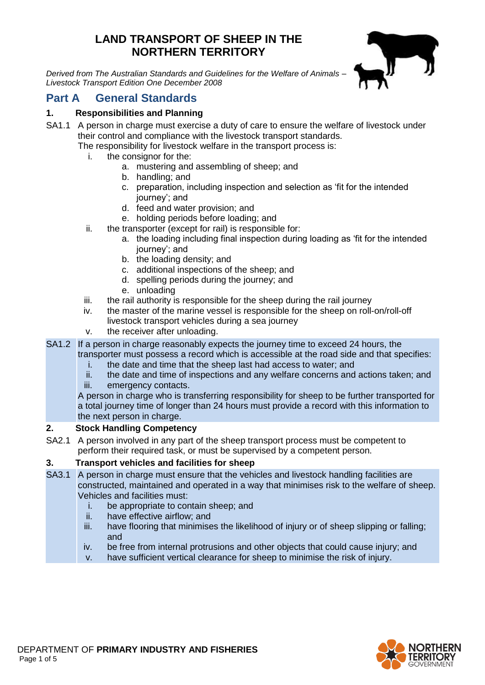# **LAND TRANSPORT OF SHEEP IN THE NORTHERN TERRITORY**

*Derived from The Australian Standards and Guidelines for the Welfare of Animals – Livestock Transport Edition One December 2008*



# **Part A General Standards**

## **1. Responsibilities and Planning**

SA1.1 A person in charge must exercise a duty of care to ensure the welfare of livestock under their control and compliance with the livestock transport standards.

The responsibility for livestock welfare in the transport process is:

- i. the consignor for the:
	- a. mustering and assembling of sheep; and
	- b. handling; and
	- c. preparation, including inspection and selection as 'fit for the intended journey'; and
	- d. feed and water provision; and
	- e. holding periods before loading; and
- ii. the transporter (except for rail) is responsible for:
	- a. the loading including final inspection during loading as 'fit for the intended journey'; and
	- b. the loading density; and
	- c. additional inspections of the sheep; and
	- d. spelling periods during the journey; and
	- e. unloading
- iii. the rail authority is responsible for the sheep during the rail journey
- iv. the master of the marine vessel is responsible for the sheep on roll-on/roll-off livestock transport vehicles during a sea journey
- v. the receiver after unloading.
- SA1.2 If a person in charge reasonably expects the journey time to exceed 24 hours, the transporter must possess a record which is accessible at the road side and that specifies:
	- i. the date and time that the sheep last had access to water; and
	- ii. the date and time of inspections and any welfare concerns and actions taken; and iii. emergency contacts.

A person in charge who is transferring responsibility for sheep to be further transported for a total journey time of longer than 24 hours must provide a record with this information to the next person in charge.

### **2. Stock Handling Competency**

SA2.1 A person involved in any part of the sheep transport process must be competent to perform their required task, or must be supervised by a competent person.

## **3. Transport vehicles and facilities for sheep**

- SA3.1 A person in charge must ensure that the vehicles and livestock handling facilities are constructed, maintained and operated in a way that minimises risk to the welfare of sheep. Vehicles and facilities must:
	- i. be appropriate to contain sheep; and
	- ii. have effective airflow; and
	- iii. have flooring that minimises the likelihood of injury or of sheep slipping or falling; and
	- iv. be free from internal protrusions and other objects that could cause injury; and
	- v. have sufficient vertical clearance for sheep to minimise the risk of injury.

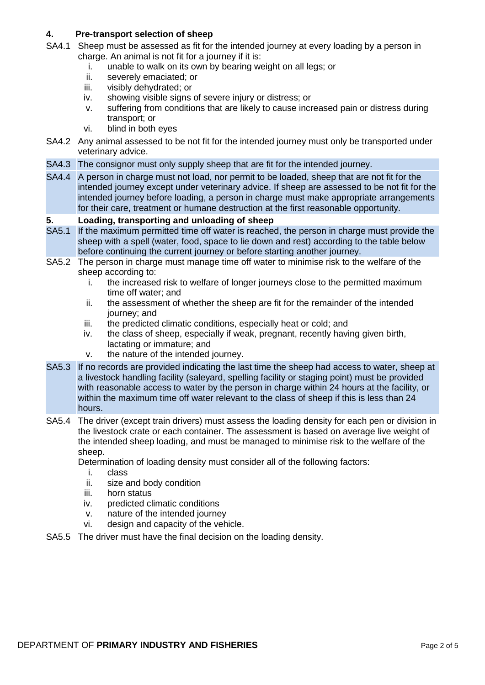### **4. Pre-transport selection of sheep**

- SA4.1 Sheep must be assessed as fit for the intended journey at every loading by a person in charge. An animal is not fit for a journey if it is:
	- i. unable to walk on its own by bearing weight on all legs; or ii. severely emaciated: or
	- severely emaciated; or
	- iii. visibly dehydrated; or
	- iv. showing visible signs of severe injury or distress; or
	- v. suffering from conditions that are likely to cause increased pain or distress during transport; or
	- vi. blind in both eyes
- SA4.2 Any animal assessed to be not fit for the intended journey must only be transported under veterinary advice.
- SA4.3 The consignor must only supply sheep that are fit for the intended journey.
- SA4.4 A person in charge must not load, nor permit to be loaded, sheep that are not fit for the intended journey except under veterinary advice. If sheep are assessed to be not fit for the intended journey before loading, a person in charge must make appropriate arrangements for their care, treatment or humane destruction at the first reasonable opportunity.

#### **5. Loading, transporting and unloading of sheep**

- SA5.1 If the maximum permitted time off water is reached, the person in charge must provide the sheep with a spell (water, food, space to lie down and rest) according to the table below before continuing the current journey or before starting another journey.
- SA5.2 The person in charge must manage time off water to minimise risk to the welfare of the sheep according to:
	- i. the increased risk to welfare of longer journeys close to the permitted maximum time off water; and
	- ii. the assessment of whether the sheep are fit for the remainder of the intended journey; and
	- iii. the predicted climatic conditions, especially heat or cold; and
	- iv. the class of sheep, especially if weak, pregnant, recently having given birth, lactating or immature; and
	- v. the nature of the intended journey.
- SA5.3 If no records are provided indicating the last time the sheep had access to water, sheep at a livestock handling facility (saleyard, spelling facility or staging point) must be provided with reasonable access to water by the person in charge within 24 hours at the facility, or within the maximum time off water relevant to the class of sheep if this is less than 24 hours.
- SA5.4 The driver (except train drivers) must assess the loading density for each pen or division in the livestock crate or each container. The assessment is based on average live weight of the intended sheep loading, and must be managed to minimise risk to the welfare of the sheep.

Determination of loading density must consider all of the following factors:

- i. class
- ii. size and body condition
- iii. horn status
- iv. predicted climatic conditions
- v. nature of the intended journey
- vi. design and capacity of the vehicle.
- SA5.5 The driver must have the final decision on the loading density.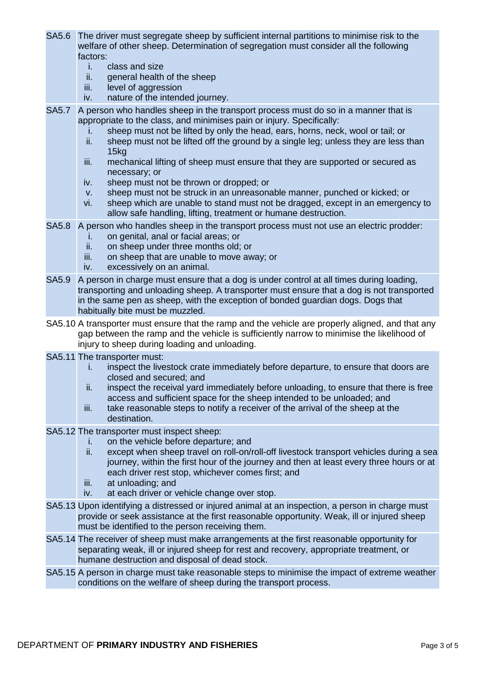- SA5.6 The driver must segregate sheep by sufficient internal partitions to minimise risk to the welfare of other sheep. Determination of segregation must consider all the following factors:
	- i. class and size<br>ii. general health
	- general health of the sheep
	- iii. level of aggression
	- iv. nature of the intended journey.

SA5.7 A person who handles sheep in the transport process must do so in a manner that is appropriate to the class, and minimises pain or injury. Specifically:

- i. sheep must not be lifted by only the head, ears, horns, neck, wool or tail; or
- ii. sheep must not be lifted off the ground by a single leg; unless they are less than 15kg
- iii. mechanical lifting of sheep must ensure that they are supported or secured as necessary; or
- iv. sheep must not be thrown or dropped; or
- v. sheep must not be struck in an unreasonable manner, punched or kicked; or
- vi. sheep which are unable to stand must not be dragged, except in an emergency to allow safe handling, lifting, treatment or humane destruction.
- SA5.8 A person who handles sheep in the transport process must not use an electric prodder:
	- i. on genital, anal or facial areas; or
	- ii. on sheep under three months old; or
	- iii. on sheep that are unable to move away; or
	- iv. excessively on an animal.
- SA5.9 A person in charge must ensure that a dog is under control at all times during loading, transporting and unloading sheep. A transporter must ensure that a dog is not transported in the same pen as sheep, with the exception of bonded guardian dogs. Dogs that habitually bite must be muzzled.
- SA5.10 A transporter must ensure that the ramp and the vehicle are properly aligned, and that any gap between the ramp and the vehicle is sufficiently narrow to minimise the likelihood of injury to sheep during loading and unloading.
- SA5.11 The transporter must:
	- i. inspect the livestock crate immediately before departure, to ensure that doors are closed and secured; and
	- ii. inspect the receival yard immediately before unloading, to ensure that there is free access and sufficient space for the sheep intended to be unloaded; and
	- iii. take reasonable steps to notify a receiver of the arrival of the sheep at the destination.
- SA5.12 The transporter must inspect sheep:
	- i. on the vehicle before departure; and
	- ii. except when sheep travel on roll-on/roll-off livestock transport vehicles during a sea journey, within the first hour of the journey and then at least every three hours or at each driver rest stop, whichever comes first; and
	- iii. at unloading; and
	- iv. at each driver or vehicle change over stop.
- SA5.13 Upon identifying a distressed or injured animal at an inspection, a person in charge must provide or seek assistance at the first reasonable opportunity. Weak, ill or injured sheep must be identified to the person receiving them.
- SA5.14 The receiver of sheep must make arrangements at the first reasonable opportunity for separating weak, ill or injured sheep for rest and recovery, appropriate treatment, or humane destruction and disposal of dead stock.
- SA5.15 A person in charge must take reasonable steps to minimise the impact of extreme weather conditions on the welfare of sheep during the transport process.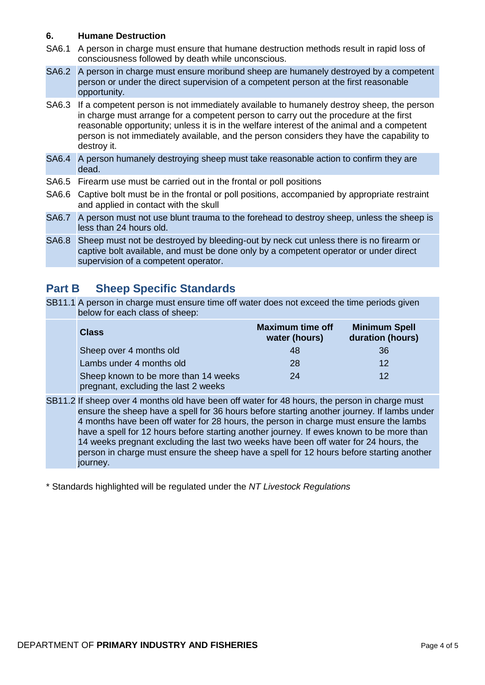### **6. Humane Destruction**

- SA6.1 A person in charge must ensure that humane destruction methods result in rapid loss of consciousness followed by death while unconscious.
- SA6.2 A person in charge must ensure moribund sheep are humanely destroyed by a competent person or under the direct supervision of a competent person at the first reasonable opportunity.

SA6.3 If a competent person is not immediately available to humanely destroy sheep, the person in charge must arrange for a competent person to carry out the procedure at the first reasonable opportunity; unless it is in the welfare interest of the animal and a competent person is not immediately available, and the person considers they have the capability to destroy it.

- SA6.4 A person humanely destroying sheep must take reasonable action to confirm they are dead.
- SA6.5 Firearm use must be carried out in the frontal or poll positions
- SA6.6 Captive bolt must be in the frontal or poll positions, accompanied by appropriate restraint and applied in contact with the skull
- SA6.7 A person must not use blunt trauma to the forehead to destroy sheep, unless the sheep is less than 24 hours old.
- SA6.8 Sheep must not be destroyed by bleeding-out by neck cut unless there is no firearm or captive bolt available, and must be done only by a competent operator or under direct supervision of a competent operator.

## **Part B Sheep Specific Standards**

SB11.1 A person in charge must ensure time off water does not exceed the time periods given below for each class of sheep:

| <b>Class</b>                                                                 | <b>Maximum time off</b><br>water (hours) | <b>Minimum Spell</b><br>duration (hours) |
|------------------------------------------------------------------------------|------------------------------------------|------------------------------------------|
| Sheep over 4 months old                                                      | 48                                       | 36                                       |
| Lambs under 4 months old                                                     | 28                                       | 12                                       |
| Sheep known to be more than 14 weeks<br>pregnant, excluding the last 2 weeks | 24                                       | 12                                       |

SB11.2 If sheep over 4 months old have been off water for 48 hours, the person in charge must ensure the sheep have a spell for 36 hours before starting another journey. If lambs under 4 months have been off water for 28 hours, the person in charge must ensure the lambs have a spell for 12 hours before starting another journey. If ewes known to be more than 14 weeks pregnant excluding the last two weeks have been off water for 24 hours, the person in charge must ensure the sheep have a spell for 12 hours before starting another iourney.

\* Standards highlighted will be regulated under the *NT Livestock Regulations*